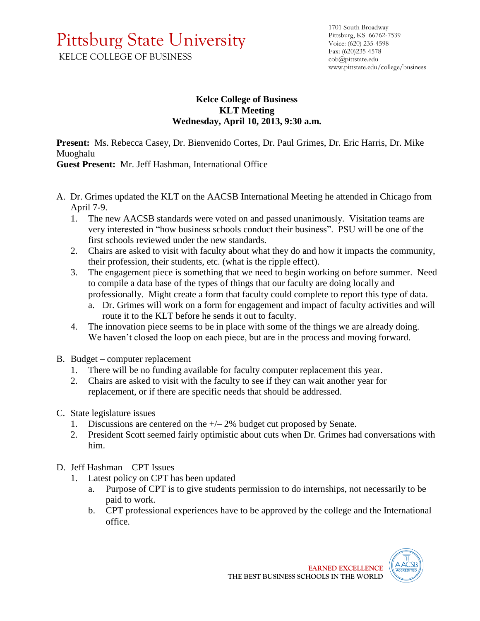## Pittsburg State University KELCE COLLEGE OF BUSINESS

## **Kelce College of Business KLT Meeting Wednesday, April 10, 2013, 9:30 a.m.**

**Present:** Ms. Rebecca Casey, Dr. Bienvenido Cortes, Dr. Paul Grimes, Dr. Eric Harris, Dr. Mike Muoghalu

**Guest Present:** Mr. Jeff Hashman, International Office

- A. Dr. Grimes updated the KLT on the AACSB International Meeting he attended in Chicago from April 7-9.
	- 1. The new AACSB standards were voted on and passed unanimously. Visitation teams are very interested in "how business schools conduct their business". PSU will be one of the first schools reviewed under the new standards.
	- 2. Chairs are asked to visit with faculty about what they do and how it impacts the community, their profession, their students, etc. (what is the ripple effect).
	- 3. The engagement piece is something that we need to begin working on before summer. Need to compile a data base of the types of things that our faculty are doing locally and professionally. Might create a form that faculty could complete to report this type of data.
		- a. Dr. Grimes will work on a form for engagement and impact of faculty activities and will route it to the KLT before he sends it out to faculty.
	- 4. The innovation piece seems to be in place with some of the things we are already doing. We haven't closed the loop on each piece, but are in the process and moving forward.
- B. Budget computer replacement
	- 1. There will be no funding available for faculty computer replacement this year.
	- 2. Chairs are asked to visit with the faculty to see if they can wait another year for replacement, or if there are specific needs that should be addressed.
- C. State legislature issues
	- 1. Discussions are centered on the  $+\sqrt{2\%}$  budget cut proposed by Senate.
	- 2. President Scott seemed fairly optimistic about cuts when Dr. Grimes had conversations with him.
- D. Jeff Hashman CPT Issues
	- 1. Latest policy on CPT has been updated
		- a. Purpose of CPT is to give students permission to do internships, not necessarily to be paid to work.
		- b. CPT professional experiences have to be approved by the college and the International office.